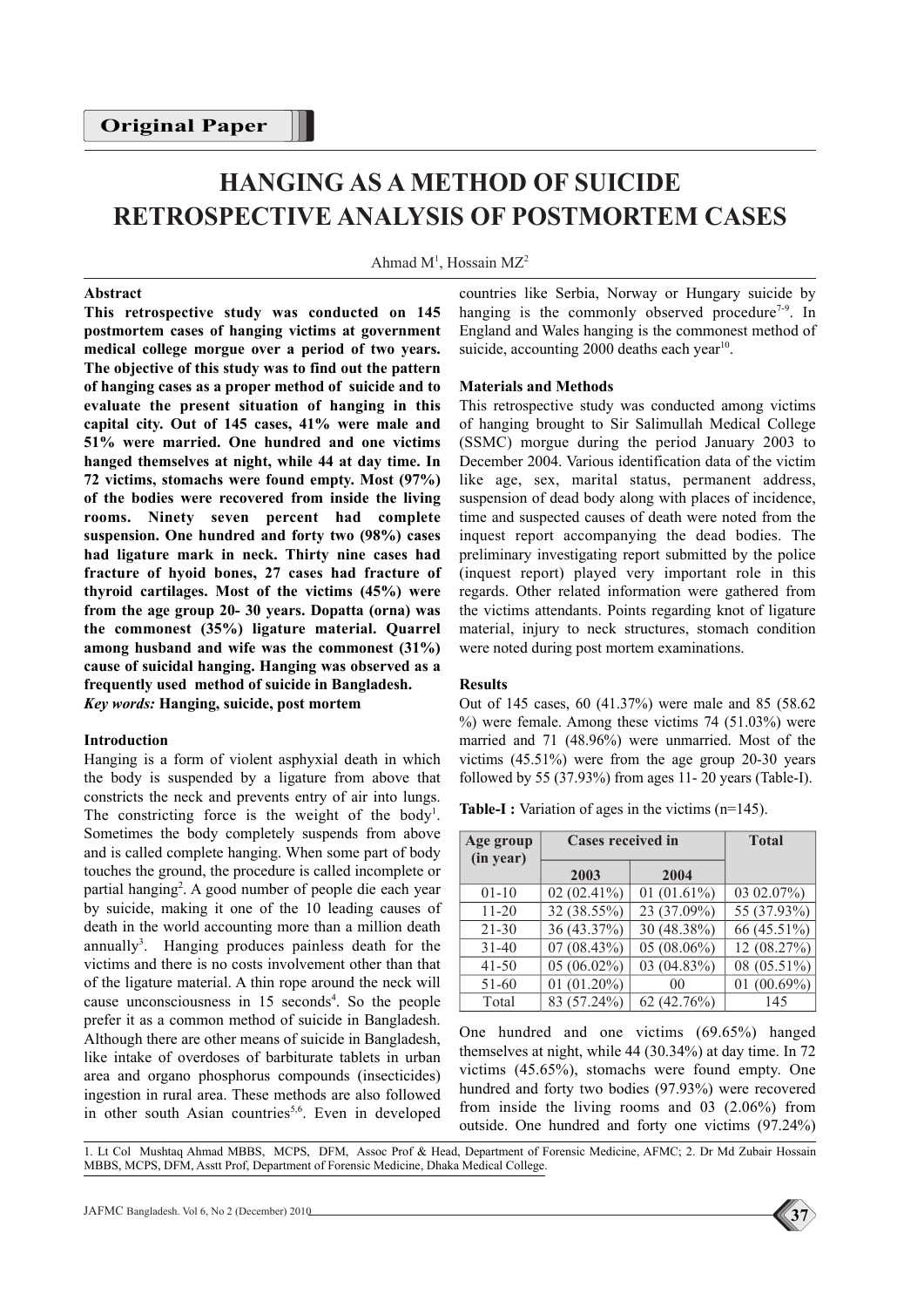# **HANGING AS A METHOD OF SUICIDE RETROSPECTIVE ANALYSIS OF POSTMORTEM CASES**

Ahmad  $M<sup>1</sup>$ , Hossain MZ<sup>2</sup>

#### **Abstract**

**This retrospective study was conducted on 145 postmortem cases of hanging victims at government medical college morgue over a period of two years. The objective of this study was to find out the pattern of hanging cases as a proper method of suicide and to evaluate the present situation of hanging in this capital city. Out of 145 cases, 41% were male and 51% were married. One hundred and one victims hanged themselves at night, while 44 at day time. In 72 victims, stomachs were found empty. Most (97%) of the bodies were recovered from inside the living rooms. Ninety seven percent had complete suspension. One hundred and forty two (98%) cases had ligature mark in neck. Thirty nine cases had fracture of hyoid bones, 27 cases had fracture of thyroid cartilages. Most of the victims (45%) were from the age group 20- 30 years. Dopatta (orna) was the commonest (35%) ligature material. Quarrel among husband and wife was the commonest (31%) cause of suicidal hanging. Hanging was observed as a frequently used method of suicide in Bangladesh.** *Key words:* **Hanging, suicide, post mortem**

## **Introduction**

Hanging is a form of violent asphyxial death in which the body is suspended by a ligature from above that constricts the neck and prevents entry of air into lungs. The constricting force is the weight of the body<sup>1</sup>. Sometimes the body completely suspends from above and is called complete hanging. When some part of body touches the ground, the procedure is called incomplete or partial hanging<sup>2</sup>. A good number of people die each year by suicide, making it one of the 10 leading causes of death in the world accounting more than a million death annually<sup>3</sup>. Hanging produces painless death for the victims and there is no costs involvement other than that of the ligature material. A thin rope around the neck will cause unconsciousness in 15 seconds 4 . So the people prefer it as a common method of suicide in Bangladesh. Although there are other means of suicide in Bangladesh, like intake of overdoses of barbiturate tablets in urban area and organo phosphorus compounds (insecticides) ingestion in rural area. These methods are also followed in other south Asian countries<sup>5,6</sup>. Even in developed

countries like Serbia, Norway or Hungary suicide by hanging is the commonly observed procedure<sup>7-9</sup>. In England and Wales hanging is the commonest method of suicide, accounting 2000 deaths each year<sup>10</sup>.

#### **Materials and Methods**

This retrospective study was conducted among victims of hanging brought to Sir Salimullah Medical College (SSMC) morgue during the period January 2003 to December 2004. Various identification data of the victim like age, sex, marital status, permanent address, suspension of dead body along with places of incidence, time and suspected causes of death were noted from the inquest report accompanying the dead bodies. The preliminary investigating report submitted by the police (inquest report) played very important role in this regards. Other related information were gathered from the victims attendants. Points regarding knot of ligature material, injury to neck structures, stomach condition were noted during post mortem examinations.

#### **Results**

Out of 145 cases, 60 (41.37%) were male and 85 (58.62  $%$ ) were female. Among these victims 74 (51.03%) were married and 71 (48.96%) were unmarried. Most of the victims (45.51%) were from the age group 20-30 years followed by 55 (37.93%) from ages 11- 20 years (Table-I).

**Table-I :** Variation of ages in the victims (n=145).

| Age group<br>(in year) | <b>Cases received in</b> | <b>Total</b>   |                |
|------------------------|--------------------------|----------------|----------------|
|                        | 2003                     | 2004           |                |
| $01 - 10$              | $02(02.41\%)$            | 01 $(01.61\%)$ | 03 02.07%)     |
| $11 - 20$              | 32 (38.55%)              | 23 (37.09%)    | 55 (37.93%)    |
| $21 - 30$              | 36 (43.37%)              | 30 (48.38%)    | 66 (45.51%)    |
| $31 - 40$              | $07(08.43\%)$            | $05(08.06\%)$  | 12 (08.27%)    |
| $41 - 50$              | $05(06.02\%)$            | 03 (04.83%)    | 08 (05.51%)    |
| 51-60                  | 01 $(01.20\%)$           | 00             | 01 $(00.69\%)$ |
| Total                  | 83 (57.24%)              | 62(42.76%)     | 145            |

One hundred and one victims (69.65%) hanged themselves at night, while 44 (30.34%) at day time. In 72 victims (45.65%), stomachs were found empty. One hundred and forty two bodies (97.93%) were recovered from inside the living rooms and 03 (2.06%) from outside. One hundred and forty one victims (97.24%)

1. Lt Col Mushtaq Ahmad MBBS, MCPS, DFM, Assoc Prof & Head, Department of Forensic Medicine, AFMC; 2. Dr Md Zubair Hossain MBBS, MCPS, DFM, Asstt Prof, Department of Forensic Medicine, Dhaka Medical College.

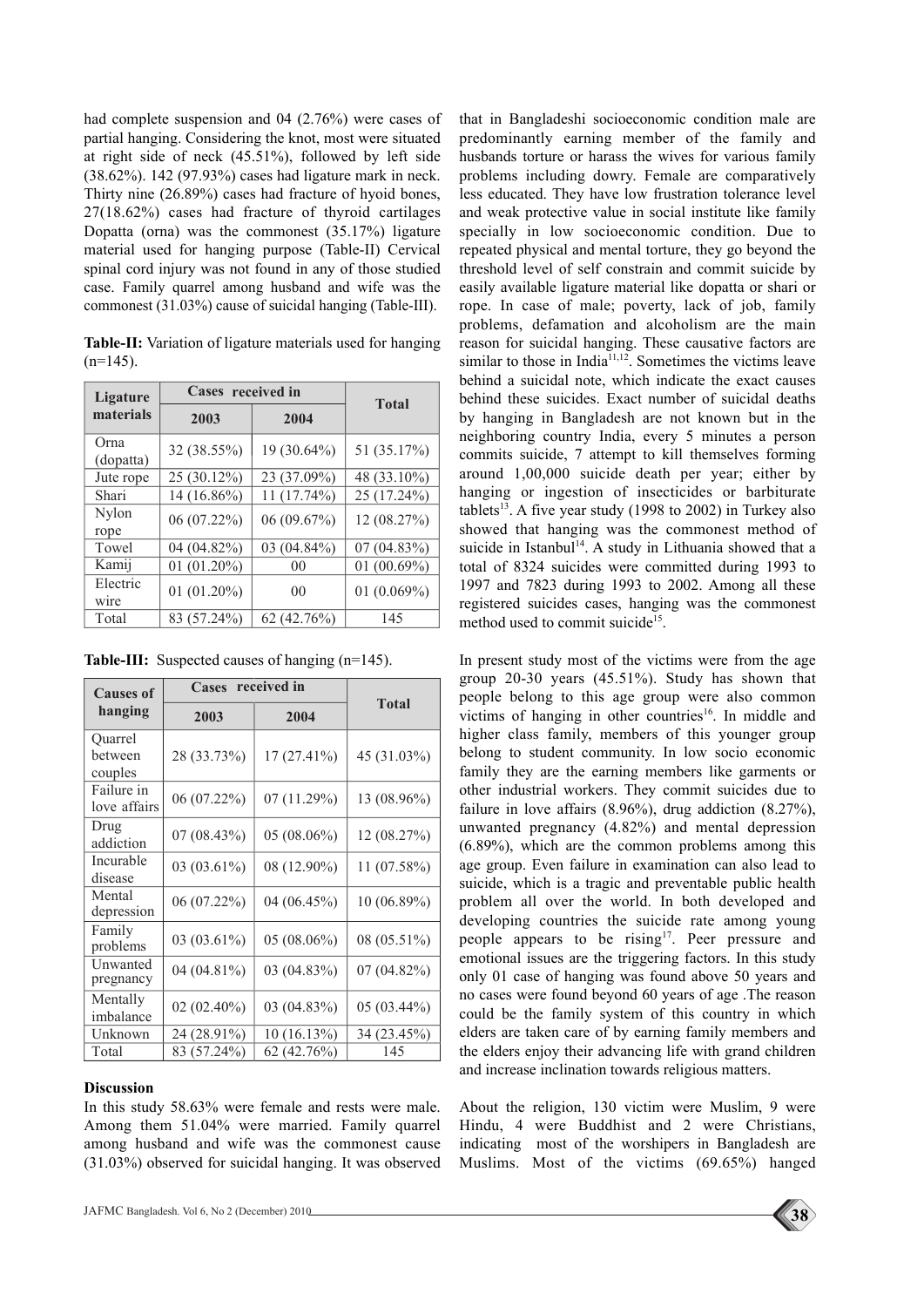had complete suspension and 04 (2.76%) were cases of partial hanging. Considering the knot, most were situated at right side of neck (45.51%), followed by left side (38.62%). 142 (97.93%) cases had ligature mark in neck. Thirty nine (26.89%) cases had fracture of hyoid bones, 27(18.62%) cases had fracture of thyroid cartilages Dopatta (orna) was the commonest (35.17%) ligature material used for hanging purpose (Table-II) Cervical spinal cord injury was not found in any of those studied case. Family quarrel among husband and wife was the commonest (31.03%) cause of suicidal hanging (Table-III).

**Table-II:** Variation of ligature materials used for hanging  $(n=145)$ .

| Ligature          | Cases received in |                | <b>Total</b>   |
|-------------------|-------------------|----------------|----------------|
| materials         | 2003              | 2004           |                |
| Orna<br>(dopatta) | 32 (38.55%)       | 19 (30.64%)    | 51 (35.17%)    |
| Jute rope         | 25 (30.12%)       | 23 (37.09%)    | 48 (33.10%)    |
| Shari             | 14 (16.86%)       | 11 (17.74%)    | 25 (17.24%)    |
| Nylon<br>rope     | 06 (07.22%)       | 06 (09.67%)    | 12 (08.27%)    |
| Towel             | 04 (04.82%)       | 03 (04.84%)    | $07(04.83\%)$  |
| Kamij             | $01(01.20\%)$     | 0 <sup>0</sup> | 01 $(00.69\%)$ |
| Electric<br>wire  | $01(01.20\%)$     | 0 <sup>0</sup> | 01 $(0.069%)$  |
| Total             | 83 (57.24%)       | 62(42.76%)     | 145            |

| <b>Causes of</b><br>hanging   | received in<br><b>Cases</b> |             |              |
|-------------------------------|-----------------------------|-------------|--------------|
|                               | 2003                        | 2004        | <b>Total</b> |
| Quarrel<br>between<br>couples | 28 (33.73%)                 | 17 (27.41%) | 45 (31.03%)  |
| Failure in<br>love affairs    | 06 (07.22%)                 | 07(11.29%)  | 13 (08.96%)  |
| Drug<br>addiction             | 07(08.43%)                  | 05 (08.06%) | 12 (08.27%)  |
| Incurable<br>disease          | 03 (03.61%)                 | 08 (12.90%) | 11 (07.58%)  |
| Mental<br>depression          | 06 (07.22%)                 | 04 (06.45%) | 10 (06.89%)  |
| Family<br>problems            | 03 (03.61%)                 | 05 (08.06%) | 08 (05.51%)  |
| Unwanted<br>pregnancy         | 04 (04.81%)                 | 03 (04.83%) | 07 (04.82%)  |
| Mentally<br>imbalance         | $02(02.40\%)$               | 03 (04.83%) | 05 (03.44%)  |
| Unknown                       | 24 (28.91%)                 | 10 (16.13%) | 34 (23.45%)  |
| Total                         | 83 (57.24%)                 | 62 (42.76%) | 145          |

**Table-III:** Suspected causes of hanging (n=145).

### **Discussion**

In this study 58.63% were female and rests were male. Among them 51.04% were married. Family quarrel among husband and wife was the commonest cause (31.03%) observed for suicidal hanging. It was observed that in Bangladeshi socioeconomic condition male are predominantly earning member of the family and husbands torture or harass the wives for various family problems including dowry. Female are comparatively less educated. They have low frustration tolerance level and weak protective value in social institute like family specially in low socioeconomic condition. Due to repeated physical and mental torture, they go beyond the threshold level of self constrain and commit suicide by easily available ligature material like dopatta or shari or rope. In case of male; poverty, lack of job, family problems, defamation and alcoholism are the main reason for suicidal hanging. These causative factors are similar to those in India $11,12$ . Sometimes the victims leave behind a suicidal note, which indicate the exact causes behind these suicides. Exact number of suicidal deaths by hanging in Bangladesh are not known but in the neighboring country India, every 5 minutes a person commits suicide, 7 attempt to kill themselves forming around 1,00,000 suicide death per year; either by hanging or ingestion of insecticides or barbiturate tablets<sup>13</sup>. A five year study (1998 to 2002) in Turkey also showed that hanging was the commonest method of suicide in Istanbul<sup>14</sup>. A study in Lithuania showed that a total of 8324 suicides were committed during 1993 to 1997 and 7823 during 1993 to 2002. Among all these registered suicides cases, hanging was the commonest method used to commit suicide<sup>15</sup>.

In present study most of the victims were from the age group 20-30 years (45.51%). Study has shown that people belong to this age group were also common victims of hanging in other countries<sup>16</sup>. In middle and higher class family, members of this younger group belong to student community. In low socio economic family they are the earning members like garments or other industrial workers. They commit suicides due to failure in love affairs  $(8.96\%)$ , drug addiction  $(8.27\%)$ . unwanted pregnancy (4.82%) and mental depression (6.89%), which are the common problems among this age group. Even failure in examination can also lead to suicide, which is a tragic and preventable public health problem all over the world. In both developed and developing countries the suicide rate among young people appears to be rising<sup>17</sup>. Peer pressure and emotional issues are the triggering factors. In this study only 01 case of hanging was found above 50 years and no cases were found beyond 60 years of age .The reason could be the family system of this country in which elders are taken care of by earning family members and the elders enjoy their advancing life with grand children and increase inclination towards religious matters.

About the religion, 130 victim were Muslim, 9 were Hindu, 4 were Buddhist and 2 were Christians, indicating most of the worshipers in Bangladesh are Muslims. Most of the victims (69.65%) hanged